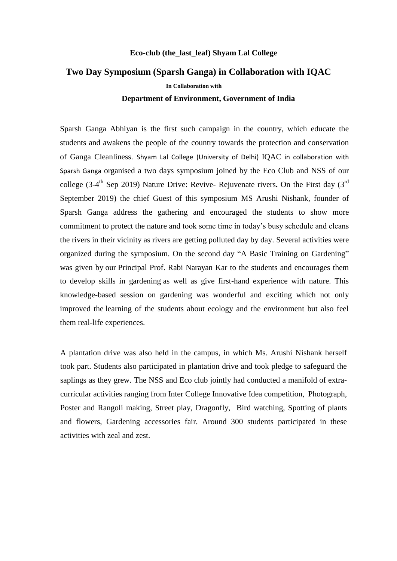## **Eco-club (the\_last\_leaf) Shyam Lal College**

## **Two Day Symposium (Sparsh Ganga) in Collaboration with IQAC**

 **In Collaboration with**

## **Department of Environment, Government of India**

Sparsh Ganga Abhiyan is the first such campaign in the country, which educate the students and awakens the people of the country towards the protection and conservation of Ganga Cleanliness. Shyam Lal College (University of Delhi) IQAC in collaboration with Sparsh Ganga organised a two days symposium joined by the Eco Club and NSS of our college (3-4<sup>th</sup> Sep 2019) Nature Drive: Revive- Rejuvenate rivers. On the First day (3<sup>rd</sup>) September 2019) the chief Guest of this symposium MS Arushi Nishank, founder of Sparsh Ganga address the gathering and encouraged the students to show more commitment to protect the nature and took some time in today's busy schedule and cleans the rivers in their vicinity as rivers are getting polluted day by day. Several activities were organized during the symposium. On the second day "A Basic Training on Gardening" was given by our Principal Prof. Rabi Narayan Kar to the students and encourages them to develop skills in gardening as well as give first-hand experience with nature. This knowledge-based session on gardening was wonderful and exciting which not only improved the learning of the students about ecology and the environment but also feel them real-life experiences.

A plantation drive was also held in the campus, in which Ms. Arushi Nishank herself took part. Students also participated in plantation drive and took pledge to safeguard the saplings as they grew. The NSS and Eco club jointly had conducted a manifold of extracurricular activities ranging from Inter College Innovative Idea competition, Photograph, Poster and Rangoli making, Street play, Dragonfly, Bird watching, Spotting of plants and flowers, Gardening accessories fair. Around 300 students participated in these activities with zeal and zest.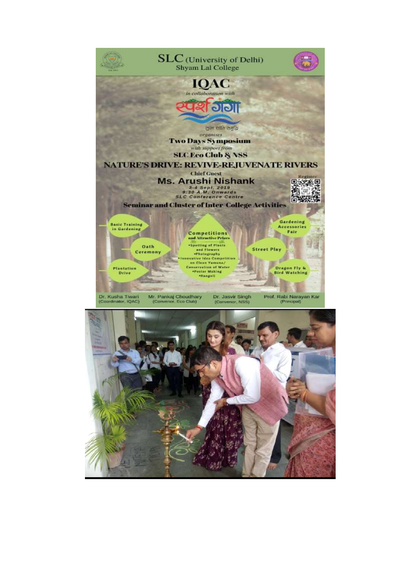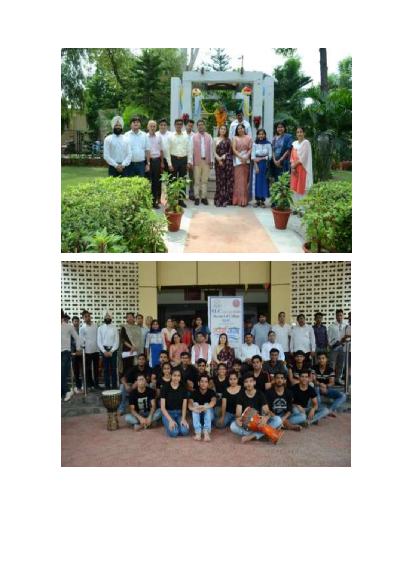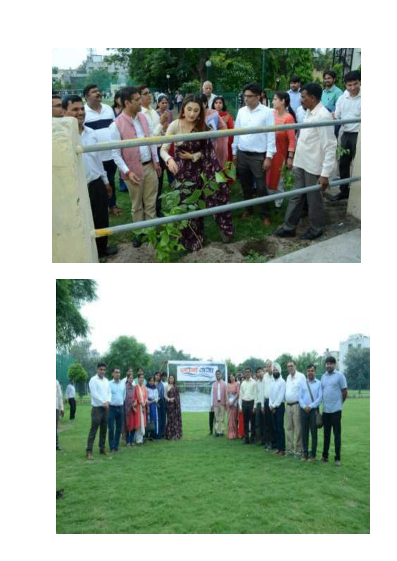

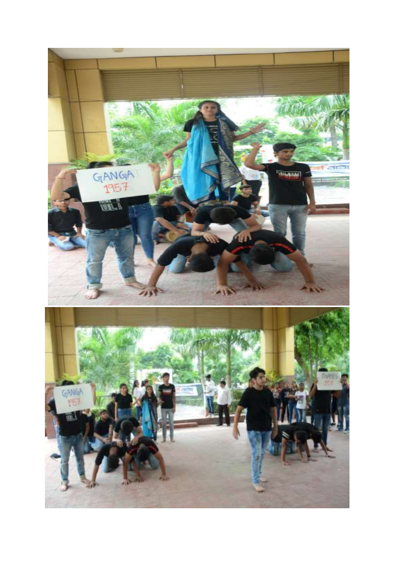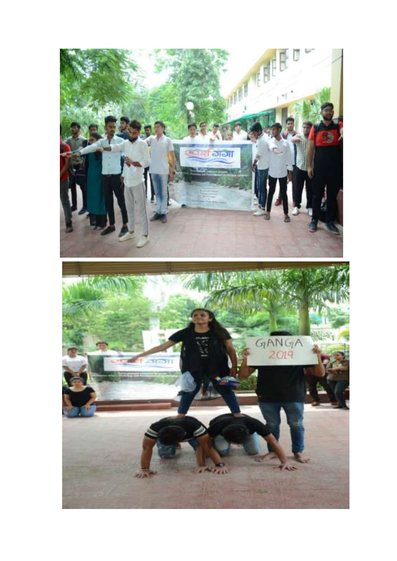